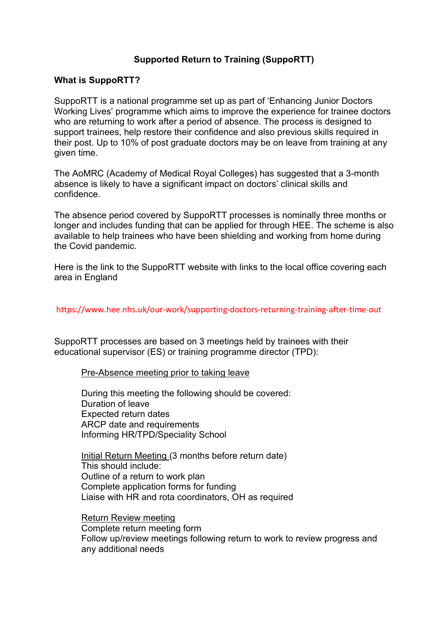# **Supported Return to Training (SuppoRTT)**

#### **What is SuppoRTT?**

SuppoRTT is a national programme set up as part of 'Enhancing Junior Doctors Working Lives' programme which aims to improve the experience for trainee doctors who are returning to work after a period of absence. The process is designed to support trainees, help restore their confidence and also previous skills required in their post. Up to 10% of post graduate doctors may be on leave from training at any given time.

The AoMRC (Academy of Medical Royal Colleges) has suggested that a 3-month absence is likely to have a significant impact on doctors' clinical skills and confidence.

The absence period covered by SuppoRTT processes is nominally three months or longer and includes funding that can be applied for through HEE. The scheme is also available to help trainees who have been shielding and working from home during the Covid pandemic.

Here is the link to the SuppoRTT website with links to the local office covering each area in England

https://www.hee.nhs.uk/our-work/supporting-doctors-returning-training-after-time-out

SuppoRTT processes are based on 3 meetings held by trainees with their educational supervisor (ES) or training programme director (TPD):

Pre-Absence meeting prior to taking leave

During this meeting the following should be covered: Duration of leave Expected return dates ARCP date and requirements Informing HR/TPD/Speciality School

Initial Return Meeting (3 months before return date) This should include: Outline of a return to work plan Complete application forms for funding Liaise with HR and rota coordinators, OH as required

Return Review meeting Complete return meeting form Follow up/review meetings following return to work to review progress and any additional needs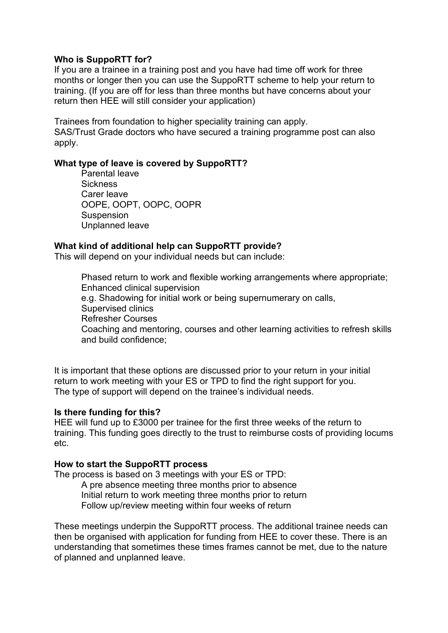## **Who is SuppoRTT for?**

If you are a trainee in a training post and you have had time off work for three months or longer then you can use the SuppoRTT scheme to help your return to training. (If you are off for less than three months but have concerns about your return then HEE will still consider your application)

Trainees from foundation to higher speciality training can apply. SAS/Trust Grade doctors who have secured a training programme post can also apply.

### **What type of leave is covered by SuppoRTT?**

Parental leave **Sickness** Carer leave OOPE, OOPT, OOPC, OOPR Suspension Unplanned leave

### **What kind of additional help can SuppoRTT provide?**

This will depend on your individual needs but can include:

Phased return to work and flexible working arrangements where appropriate; Enhanced clinical supervision e.g. Shadowing for initial work or being supernumerary on calls, Supervised clinics Refresher Courses Coaching and mentoring, courses and other learning activities to refresh skills and build confidence;

It is important that these options are discussed prior to your return in your initial return to work meeting with your ES or TPD to find the right support for you. The type of support will depend on the trainee's individual needs.

#### **Is there funding for this?**

HEE will fund up to £3000 per trainee for the first three weeks of the return to training. This funding goes directly to the trust to reimburse costs of providing locums etc.

#### **How to start the SuppoRTT process**

The process is based on 3 meetings with your ES or TPD:

A pre absence meeting three months prior to absence Initial return to work meeting three months prior to return Follow up/review meeting within four weeks of return

These meetings underpin the SuppoRTT process. The additional trainee needs can then be organised with application for funding from HEE to cover these. There is an understanding that sometimes these times frames cannot be met, due to the nature of planned and unplanned leave.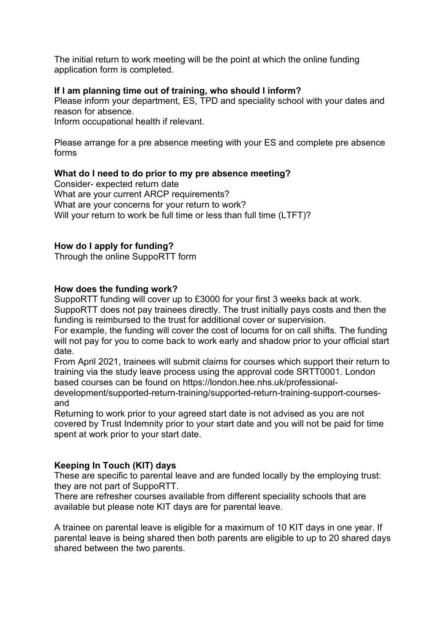The initial return to work meeting will be the point at which the online funding application form is completed.

# **If I am planning time out of training, who should I inform?**

Please inform your department, ES, TPD and speciality school with your dates and reason for absence.

Inform occupational health if relevant.

Please arrange for a pre absence meeting with your ES and complete pre absence forms

# **What do I need to do prior to my pre absence meeting?**

Consider- expected return date What are your current ARCP requirements? What are your concerns for your return to work? Will your return to work be full time or less than full time (LTFT)?

# **How do I apply for funding?**

Through the online SuppoRTT form

## **How does the funding work?**

SuppoRTT funding will cover up to £3000 for your first 3 weeks back at work. SuppoRTT does not pay trainees directly. The trust initially pays costs and then the funding is reimbursed to the trust for additional cover or supervision.

For example, the funding will cover the cost of locums for on call shifts. The funding will not pay for you to come back to work early and shadow prior to your official start date.

From April 2021, trainees will submit claims for courses which support their return to training via the study leave process using the approval code SRTT0001. London based courses can be found on https://london.hee.nhs.uk/professional-

development/supported-return-training/supported-return-training-support-coursesand

Returning to work prior to your agreed start date is not advised as you are not covered by Trust Indemnity prior to your start date and you will not be paid for time spent at work prior to your start date.

## **Keeping In Touch (KIT) days**

These are specific to parental leave and are funded locally by the employing trust: they are not part of SuppoRTT.

There are refresher courses available from different speciality schools that are available but please note KIT days are for parental leave.

A trainee on parental leave is eligible for a maximum of 10 KIT days in one year. If parental leave is being shared then both parents are eligible to up to 20 shared days shared between the two parents.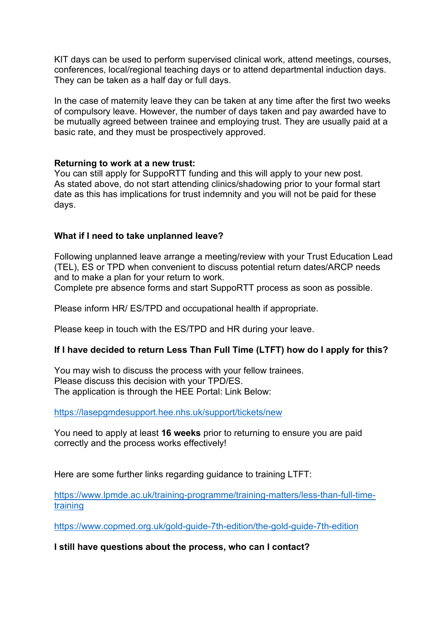KIT days can be used to perform supervised clinical work, attend meetings, courses, conferences, local/regional teaching days or to attend departmental induction days. They can be taken as a half day or full days.

In the case of maternity leave they can be taken at any time after the first two weeks of compulsory leave. However, the number of days taken and pay awarded have to be mutually agreed between trainee and employing trust. They are usually paid at a basic rate, and they must be prospectively approved.

## **Returning to work at a new trust:**

You can still apply for SuppoRTT funding and this will apply to your new post. As stated above, do not start attending clinics/shadowing prior to your formal start date as this has implications for trust indemnity and you will not be paid for these days.

## **What if I need to take unplanned leave?**

Following unplanned leave arrange a meeting/review with your Trust Education Lead (TEL), ES or TPD when convenient to discuss potential return dates/ARCP needs and to make a plan for your return to work.

Complete pre absence forms and start SuppoRTT process as soon as possible.

Please inform HR/ ES/TPD and occupational health if appropriate.

Please keep in touch with the ES/TPD and HR during your leave.

## **If I have decided to return Less Than Full Time (LTFT) how do I apply for this?**

You may wish to discuss the process with your fellow trainees. Please discuss this decision with your TPD/ES. The application is through the HEE Portal: Link Below:

<https://lasepgmdesupport.hee.nhs.uk/support/tickets/new>

You need to apply at least **16 weeks** prior to returning to ensure you are paid correctly and the process works effectively!

Here are some further links regarding quidance to training LTFT:

[https://www.lpmde.ac.uk/training-programme/training-matters/less-than-full-time](https://www.lpmde.ac.uk/training-programme/training-matters/less-than-full-time-training)[training](https://www.lpmde.ac.uk/training-programme/training-matters/less-than-full-time-training)

<https://www.copmed.org.uk/gold-guide-7th-edition/the-gold-guide-7th-edition>

**I still have questions about the process, who can I contact?**